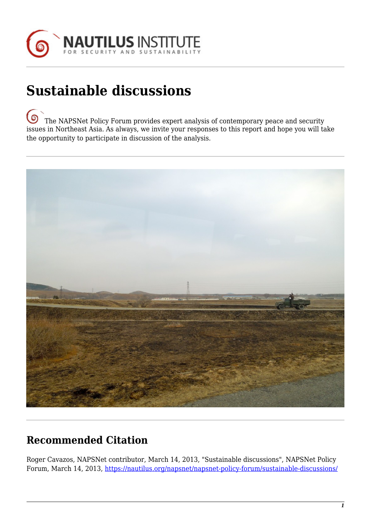

## **Sustainable discussions**

෧ [T](https://nautilus.org/wp-content/uploads/2013/05/nautilus-logo-small.png)he NAPSNet Policy Forum provides expert analysis of contemporary peace and security issues in Northeast Asia. As always, we invite your responses to this report and hope you will take the opportunity to participate in discussion of the analysis.



## **Recommended Citation**

Roger Cavazos, NAPSNet contributor, March 14, 2013, "Sustainable discussions", NAPSNet Policy Forum, March 14, 2013,<https://nautilus.org/napsnet/napsnet-policy-forum/sustainable-discussions/>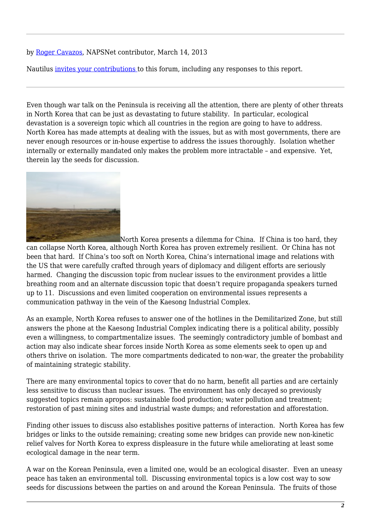## by [Roger Cavazos](https://nautilus.org/network/associates/roger-cavazos/#axzz2NSxALAKR), NAPSNet contributor, March 14, 2013

Nautilus [invites your contributions t](#page-2-0)o this forum, including any responses to this report.

Even though war talk on the Peninsula is receiving all the attention, there are plenty of other threats in North Korea that can be just as devastating to future stability. In particular, ecological devastation is a sovereign topic which all countries in the region are going to have to address. North Korea has made attempts at dealing with the issues, but as with most governments, there are never enough resources or in-house expertise to address the issues thoroughly. Isolation whether internally or externally mandated only makes the problem more intractable – and expensive. Yet, therein lay the seeds for discussion.



[N](https://nautilus.org/wp-content/uploads/2013/03/pf-image.jpg)orth Korea presents a dilemma for China. If China is too hard, they can collapse North Korea, although North Korea has proven extremely resilient. Or China has not been that hard. If China's too soft on North Korea, China's international image and relations with the US that were carefully crafted through years of diplomacy and diligent efforts are seriously harmed. Changing the discussion topic from nuclear issues to the environment provides a little breathing room and an alternate discussion topic that doesn't require propaganda speakers turned up to 11. Discussions and even limited cooperation on environmental issues represents a communication pathway in the vein of the Kaesong Industrial Complex.

As an example, North Korea refuses to answer one of the hotlines in the Demilitarized Zone, but still answers the phone at the Kaesong Industrial Complex indicating there is a political ability, possibly even a willingness, to compartmentalize issues. The seemingly contradictory jumble of bombast and action may also indicate shear forces inside North Korea as some elements seek to open up and others thrive on isolation. The more compartments dedicated to non-war, the greater the probability of maintaining strategic stability.

There are many environmental topics to cover that do no harm, benefit all parties and are certainly less sensitive to discuss than nuclear issues. The environment has only decayed so previously suggested topics remain apropos: sustainable food production; water pollution and treatment; restoration of past mining sites and industrial waste dumps; and reforestation and afforestation.

Finding other issues to discuss also establishes positive patterns of interaction. North Korea has few bridges or links to the outside remaining; creating some new bridges can provide new non-kinetic relief valves for North Korea to express displeasure in the future while ameliorating at least some ecological damage in the near term.

A war on the Korean Peninsula, even a limited one, would be an ecological disaster. Even an uneasy peace has taken an environmental toll. Discussing environmental topics is a low cost way to sow seeds for discussions between the parties on and around the Korean Peninsula. The fruits of those